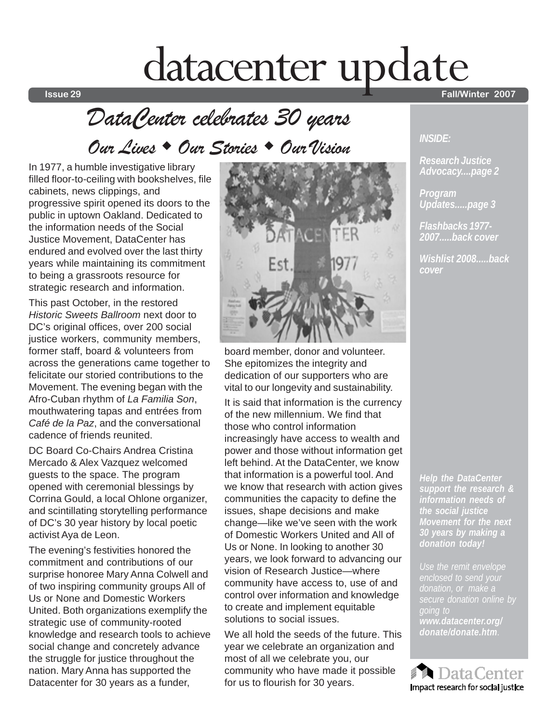# datacenter update

## *DataCenter celebrates 30 years*

*Our Lives Our Stories Our Vision*

In 1977, a humble investigative library filled floor-to-ceiling with bookshelves, file cabinets, news clippings, and progressive spirit opened its doors to the public in uptown Oakland. Dedicated to the information needs of the Social Justice Movement, DataCenter has endured and evolved over the last thirty years while maintaining its commitment to being a grassroots resource for strategic research and information.

This past October, in the restored *Historic Sweets Ballroom* next door to DC's original offices, over 200 social justice workers, community members, former staff, board & volunteers from across the generations came together to felicitate our storied contributions to the Movement. The evening began with the Afro-Cuban rhythm of *La Familia Son*, mouthwatering tapas and entrées from *Café de la Paz*, and the conversational cadence of friends reunited.

DC Board Co-Chairs Andrea Cristina Mercado & Alex Vazquez welcomed guests to the space. The program opened with ceremonial blessings by Corrina Gould, a local Ohlone organizer, and scintillating storytelling performance of DC's 30 year history by local poetic activist Aya de Leon.

The evening's festivities honored the commitment and contributions of our surprise honoree Mary Anna Colwell and of two inspiring community groups All of Us or None and Domestic Workers United. Both organizations exemplify the strategic use of community-rooted knowledge and research tools to achieve social change and concretely advance the struggle for justice throughout the nation. Mary Anna has supported the Datacenter for 30 years as a funder,



board member, donor and volunteer. She epitomizes the integrity and dedication of our supporters who are vital to our longevity and sustainability.

It is said that information is the currency of the new millennium. We find that those who control information increasingly have access to wealth and power and those without information get left behind. At the DataCenter, we know that information is a powerful tool. And we know that research with action gives communities the capacity to define the issues, shape decisions and make change—like we've seen with the work of Domestic Workers United and All of Us or None. In looking to another 30 years, we look forward to advancing our vision of Research Justice—where community have access to, use of and control over information and knowledge to create and implement equitable solutions to social issues.

We all hold the seeds of the future. This year we celebrate an organization and most of all we celebrate you, our community who have made it possible for us to flourish for 30 years.

**Issue 29 Fall/Winter 2007**

#### *INSIDE:*

*Research Justice Advocacy....page 2*

*Program Updates.....page 3*

*Flashbacks 1977- 2007.....back cover*

*Wishlist 2008.....back cover*

*Help the DataCenter support the research & information needs of the social justice Movement for the next 30 years by making a donation today!*

*donation, or make a secure donation online by www.datacenter.org/ donate/donate.htm.*

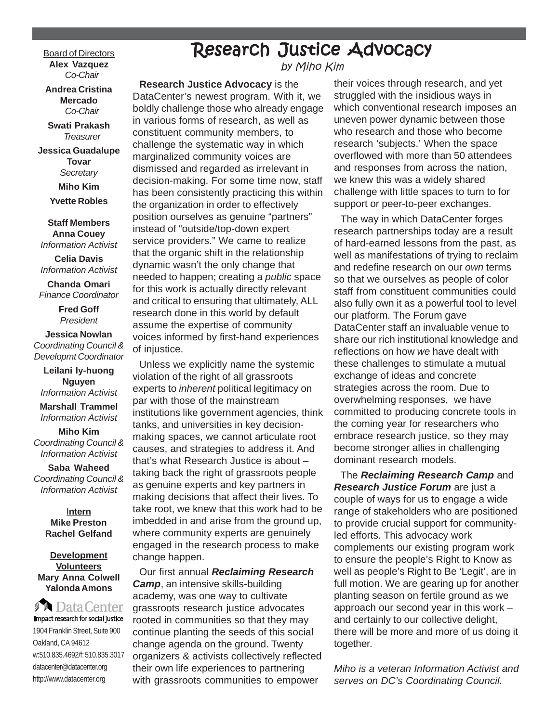**Board of Directors Alex Vazquez** *Co-Chair*

**Andrea Cristina Mercado** *Co-Chair*

**Swati Prakash** *Treasurer*

**Jessica Guadalupe Tovar** *Secretary*

**Miho Kim**

**Yvette Robles**

#### **Staff Members Anna Couey**

*Information Activist*

**Celia Davis** *Information Activist* **Chanda Omari**

*Finance Coordinator*

**Fred Goff** *President*

**Jessica Nowlan** *Coordinating Council & Developmt Coordinator*

**Leilani ly-huong Nguyen** *Information Activist*

**Marshall Trammel** *Information Activist*

**Miho Kim** *Coordinating Council & Information Activist*

**Saba Waheed** *Coordinating Council & Information Activist*

> I**ntern Mike Preston Rachel Gelfand**

#### **Development Volunteers Mary Anna Colwell Yalonda Amons**

**DataCenter** Impact research for social justice 1904 Franklin Street, Suite 900 Oakland, CA 94612 w:510.835.4692/f: 510.835.3017 datacenter@datacenter.org http://www.datacenter.org

## Research Justice Advocacy

by Miho Kim

**Research Justice Advocacy** is the DataCenter's newest program. With it, we boldly challenge those who already engage in various forms of research, as well as constituent community members, to challenge the systematic way in which marginalized community voices are dismissed and regarded as irrelevant in decision-making. For some time now, staff has been consistently practicing this within the organization in order to effectively position ourselves as genuine "partners" instead of "outside/top-down expert service providers." We came to realize that the organic shift in the relationship dynamic wasn't the only change that needed to happen; creating a *public* space for this work is actually directly relevant and critical to ensuring that ultimately, ALL research done in this world by default assume the expertise of community voices informed by first-hand experiences of injustice.

Unless we explicitly name the systemic violation of the right of all grassroots experts to *inherent* political legitimacy on par with those of the mainstream institutions like government agencies, think tanks, and universities in key decisionmaking spaces, we cannot articulate root causes, and strategies to address it. And that's what Research Justice is about – taking back the right of grassroots people as genuine experts and key partners in making decisions that affect their lives. To take root, we knew that this work had to be imbedded in and arise from the ground up, where community experts are genuinely engaged in the research process to make change happen.

Our first annual *Reclaiming Research Camp*, an intensive skills-building academy, was one way to cultivate grassroots research justice advocates rooted in communities so that they may continue planting the seeds of this social change agenda on the ground. Twenty organizers & activists collectively reflected their own life experiences to partnering with grassroots communities to empower

their voices through research, and yet struggled with the insidious ways in which conventional research imposes an uneven power dynamic between those who research and those who become research 'subjects.' When the space overflowed with more than 50 attendees and responses from across the nation, we knew this was a widely shared challenge with little spaces to turn to for support or peer-to-peer exchanges.

The way in which DataCenter forges research partnerships today are a result of hard-earned lessons from the past, as well as manifestations of trying to reclaim and redefine research on our *own* terms so that we ourselves as people of color staff from constituent communities could also fully own it as a powerful tool to level our platform. The Forum gave DataCenter staff an invaluable venue to share our rich institutional knowledge and reflections on how *we* have dealt with these challenges to stimulate a mutual exchange of ideas and concrete strategies across the room. Due to overwhelming responses, we have committed to producing concrete tools in the coming year for researchers who embrace research justice, so they may become stronger allies in challenging dominant research models.

The *Reclaiming Research Camp* and *Research Justice Forum* are just a couple of ways for us to engage a wide range of stakeholders who are positioned to provide crucial support for communityled efforts. This advocacy work complements our existing program work to ensure the people's Right to Know as well as people's Right to Be 'Legit', are in full motion. We are gearing up for another planting season on fertile ground as we approach our second year in this work – and certainly to our collective delight, there will be more and more of us doing it together.

*Miho is a veteran Information Activist and serves on DC's Coordinating Council.*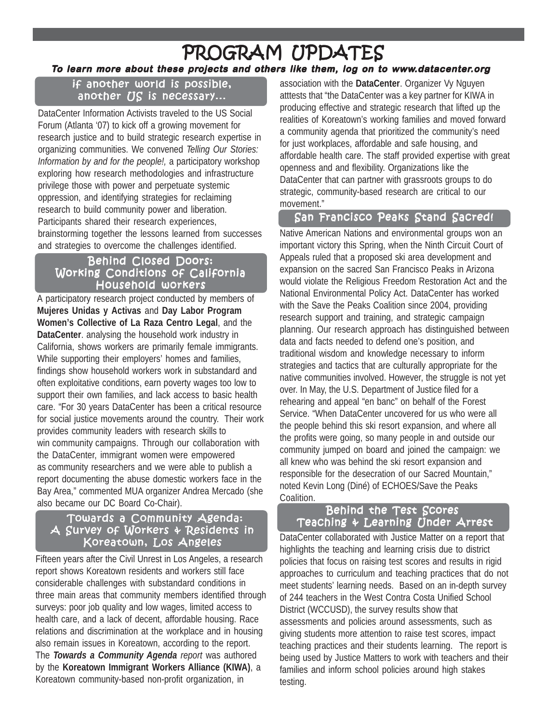### **To learn more about these projects and others like them, log on to www.datacenter.org** PROGRAM UPDATES

#### if another world is possible, another  $US$  is necessary...

DataCenter Information Activists traveled to the US Social Forum (Atlanta '07) to kick off a growing movement for research justice and to build strategic research expertise in organizing communities. We convened *Telling Our Stories: Information by and for the people!,* a participatory workshop exploring how research methodologies and infrastructure privilege those with power and perpetuate systemic oppression, and identifying strategies for reclaiming research to build community power and liberation. Participants shared their research experiences, brainstorming together the lessons learned from successes and strategies to overcome the challenges identified.

#### Behind Closed Doors: Working Conditions of California Household workers

A participatory research project conducted by members of **Mujeres Unidas y Activas** and **Day Labor Program Women's Collective of La Raza Centro Legal**, and the **DataCenter**. analysing the household work industry in California, shows workers are primarily female immigrants. While supporting their employers' homes and families, findings show household workers work in substandard and often exploitative conditions, earn poverty wages too low to support their own families, and lack access to basic health care. "For 30 years DataCenter has been a critical resource for social justice movements around the country. Their work provides community leaders with research skills to win community campaigns. Through our collaboration with the DataCenter, immigrant women were empowered as community researchers and we were able to publish a report documenting the abuse domestic workers face in the Bay Area," commented MUA organizer Andrea Mercado (she also became our DC Board Co-Chair).

#### Towards a Community Agenda: A Survey of Workers & Residents in Koreatown, Los Angeles

Fifteen years after the Civil Unrest in Los Angeles, a research report shows Koreatown residents and workers still face considerable challenges with substandard conditions in three main areas that community members identified through surveys: poor job quality and low wages, limited access to health care, and a lack of decent, affordable housing. Race relations and discrimination at the workplace and in housing also remain issues in Koreatown, according to the report. The *Towards a Community Agenda report* was authored by the **Koreatown Immigrant Workers Alliance (KIWA)**, a Koreatown community-based non-profit organization, in

association with the **DataCenter**. Organizer Vy Nguyen atttests that "the DataCenter was a key partner for KIWA in producing effective and strategic research that lifted up the realities of Koreatown's working families and moved forward a community agenda that prioritized the community's need for just workplaces, affordable and safe housing, and affordable health care. The staff provided expertise with great openness and and flexibility. Organizations like the DataCenter that can partner with grassroots groups to do strategic, community-based research are critical to our movement."

#### San Francisco Peaks Stand Sacred!

Native American Nations and environmental groups won an important victory this Spring, when the Ninth Circuit Court of Appeals ruled that a proposed ski area development and expansion on the sacred San Francisco Peaks in Arizona would violate the Religious Freedom Restoration Act and the National Environmental Policy Act. DataCenter has worked with the Save the Peaks Coalition since 2004, providing research support and training, and strategic campaign planning. Our research approach has distinguished between data and facts needed to defend one's position, and traditional wisdom and knowledge necessary to inform strategies and tactics that are culturally appropriate for the native communities involved. However, the struggle is not yet over. In May, the U.S. Department of Justice filed for a rehearing and appeal "en banc" on behalf of the Forest Service. "When DataCenter uncovered for us who were all the people behind this ski resort expansion, and where all the profits were going, so many people in and outside our community jumped on board and joined the campaign: we all knew who was behind the ski resort expansion and responsible for the desecration of our Sacred Mountain," noted Kevin Long (Diné) of ECHOES/Save the Peaks Coalition.

#### Behind the Test Scores Teaching & Learning Under Arrest

DataCenter collaborated with Justice Matter on a report that highlights the teaching and learning crisis due to district policies that focus on raising test scores and results in rigid approaches to curriculum and teaching practices that do not meet students' learning needs. Based on an in-depth survey of 244 teachers in the West Contra Costa Unified School District (WCCUSD), the survey results show that assessments and policies around assessments, such as giving students more attention to raise test scores, impact teaching practices and their students learning. The report is being used by Justice Matters to work with teachers and their families and inform school policies around high stakes testing.